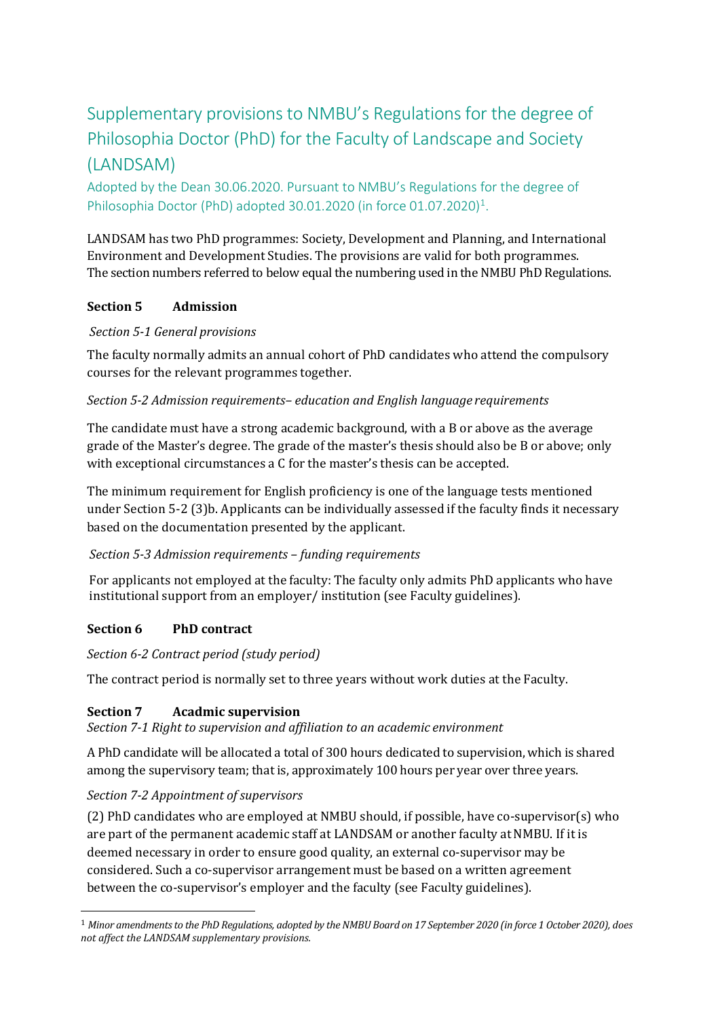# Supplementary provisions to NMBU's Regulations for the degree of Philosophia Doctor (PhD) for the Faculty of Landscape and Society (LANDSAM)

Adopted by the Dean 30.06.2020. Pursuant to NMBU's Regulations for the degree of Philosophia Doctor (PhD) adopted 30.01.2020 (in force 01.07.2020)<sup>1</sup>.

LANDSAM has two PhD programmes: Society, Development and Planning, and International Environment and Development Studies. The provisions are valid for both programmes. The section numbers referred to below equal the numbering used in the NMBU PhD Regulations.

## **Section 5 Admission**

## *Section 5-1 General provisions*

The faculty normally admits an annual cohort of PhD candidates who attend the compulsory courses for the relevant programmes together.

## *Section 5-2 Admission requirements– education and English language requirements*

The candidate must have a strong academic background, with a B or above as the average grade of the Master's degree. The grade of the master's thesis should also be B or above; only with exceptional circumstances a C for the master's thesis can be accepted.

The minimum requirement for English proficiency is one of the language tests mentioned under Section 5-2 (3)b. Applicants can be individually assessed if the faculty finds it necessary based on the documentation presented by the applicant.

## *Section 5-3 Admission requirements – funding requirements*

For applicants not employed at the faculty: The faculty only admits PhD applicants who have institutional support from an employer/ institution (see Faculty guidelines).

# **Section 6 PhD contract**

## *Section 6-2 Contract period (study period)*

The contract period is normally set to three years without work duties at the Faculty.

# **Section 7 Acadmic supervision**

*Section 7-1 Right to supervision and affiliation to an academic environment*

A PhD candidate will be allocated a total of 300 hours dedicated to supervision, which is shared among the supervisory team; that is, approximately 100 hours per year over three years.

# *Section 7-2 Appointment of supervisors*

(2) PhD candidates who are employed at NMBU should, if possible, have co-supervisor(s) who are part of the permanent academic staff at LANDSAM or another faculty at NMBU. If it is deemed necessary in order to ensure good quality, an external co-supervisor may be considered. Such a co-supervisor arrangement must be based on a written agreement between the co-supervisor's employer and the faculty (see Faculty guidelines).

<span id="page-0-0"></span><sup>1</sup> *Minor amendmentsto the PhD Regulations, adopted by the NMBU Board on 17 September 2020 (in force 1 October 2020), does not affect the LANDSAM supplementary provisions.*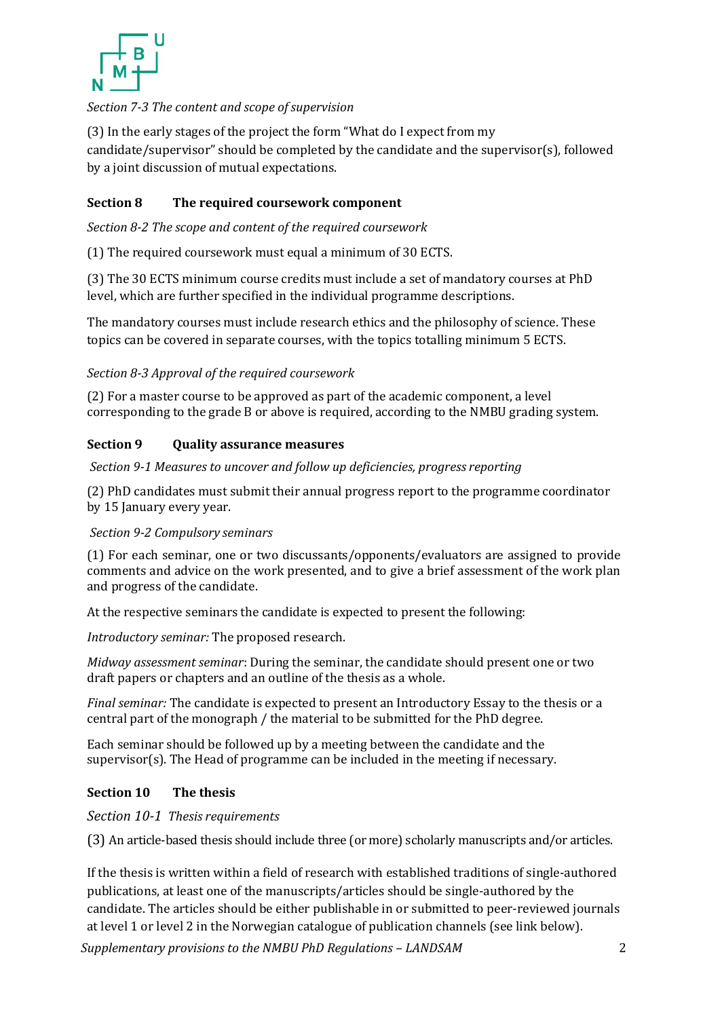

## *Section 7-3 The content and scope ofsupervision*

(3) In the early stages of the project the form "What do I expect from my candidate/supervisor" should be completed by the candidate and the supervisor(s), followed by a joint discussion of mutual expectations.

## **Section 8 The required coursework component**

*Section 8-2 The scope and content of the required coursework*

(1) The required coursework must equal a minimum of 30 ECTS.

(3) The 30 ECTS minimum course credits must include a set of mandatory courses at PhD level, which are further specified in the individual programme descriptions.

The mandatory courses must include research ethics and the philosophy of science. These topics can be covered in separate courses, with the topics totalling minimum 5 ECTS.

*Section 8-3 Approval of the required coursework*

(2) For a master course to be approved as part of the academic component, a level corresponding to the grade B or above is required, according to the NMBU grading system.

#### **Section 9 Quality assurance measures**

*Section 9-1 Measures to uncover and follow up deficiencies, progress reporting*

(2) PhD candidates must submit their annual progress report to the programme coordinator by 15 January every year.

#### *Section 9-2 Compulsory seminars*

(1) For each seminar, one or two discussants/opponents/evaluators are assigned to provide comments and advice on the work presented, and to give a brief assessment of the work plan and progress of the candidate.

At the respective seminars the candidate is expected to present the following:

*Introductory seminar:* The proposed research.

*Midway assessment seminar*: During the seminar, the candidate should present one or two draft papers or chapters and an outline of the thesis as a whole.

*Final seminar:* The candidate is expected to present an Introductory Essay to the thesis or a central part of the monograph / the material to be submitted for the PhD degree.

Each seminar should be followed up by a meeting between the candidate and the supervisor(s). The Head of programme can be included in the meeting if necessary.

#### **Section 10 The thesis**

*Section 10-1 Thesis requirements*

(3) An article-based thesis should include three (or more) scholarly manuscripts and/or articles.

If the thesis is written within a field of research with established traditions of single-authored publications, at least one of the manuscripts/articles should be single-authored by the candidate. The articles should be either publishable in or submitted to peer-reviewed journals at level 1 or level 2 in the Norwegian catalogue of publication channels (see link below).

*Supplementary provisions to the NMBU PhD Regulations – LANDSAM* 2